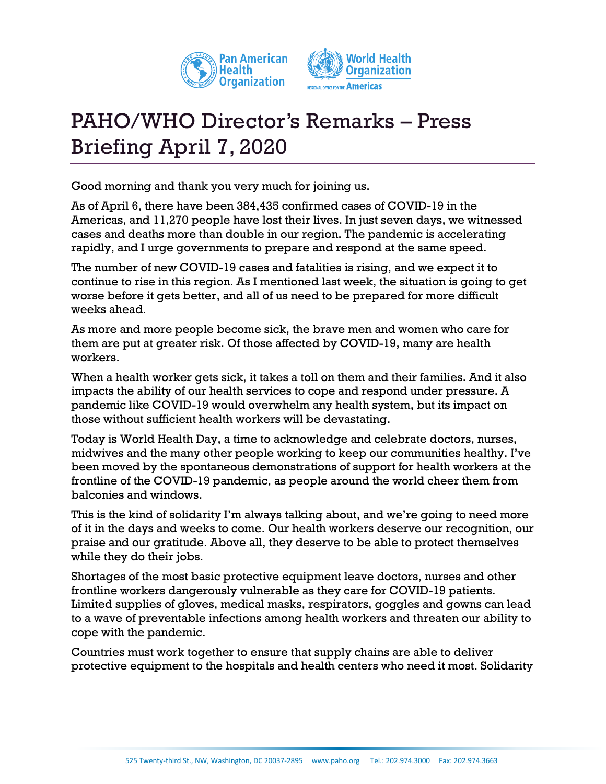



## PAHO/WHO Director's Remarks – Press Briefing April 7, 2020

Good morning and thank you very much for joining us.

As of April 6, there have been 384,435 confirmed cases of COVID-19 in the Americas, and 11,270 people have lost their lives. In just seven days, we witnessed cases and deaths more than double in our region. The pandemic is accelerating rapidly, and I urge governments to prepare and respond at the same speed.

The number of new COVID-19 cases and fatalities is rising, and we expect it to continue to rise in this region. As I mentioned last week, the situation is going to get worse before it gets better, and all of us need to be prepared for more difficult weeks ahead.

As more and more people become sick, the brave men and women who care for them are put at greater risk. Of those affected by COVID-19, many are health workers.

When a health worker gets sick, it takes a toll on them and their families. And it also impacts the ability of our health services to cope and respond under pressure. A pandemic like COVID-19 would overwhelm any health system, but its impact on those without sufficient health workers will be devastating.

Today is World Health Day, a time to acknowledge and celebrate doctors, nurses, midwives and the many other people working to keep our communities healthy. I've been moved by the spontaneous demonstrations of support for health workers at the frontline of the COVID-19 pandemic, as people around the world cheer them from balconies and windows.

This is the kind of solidarity I'm always talking about, and we're going to need more of it in the days and weeks to come. Our health workers deserve our recognition, our praise and our gratitude. Above all, they deserve to be able to protect themselves while they do their jobs.

Shortages of the most basic protective equipment leave doctors, nurses and other frontline workers dangerously vulnerable as they care for COVID-19 patients. Limited supplies of gloves, medical masks, respirators, goggles and gowns can lead to a wave of preventable infections among health workers and threaten our ability to cope with the pandemic.

Countries must work together to ensure that supply chains are able to deliver protective equipment to the hospitals and health centers who need it most. Solidarity